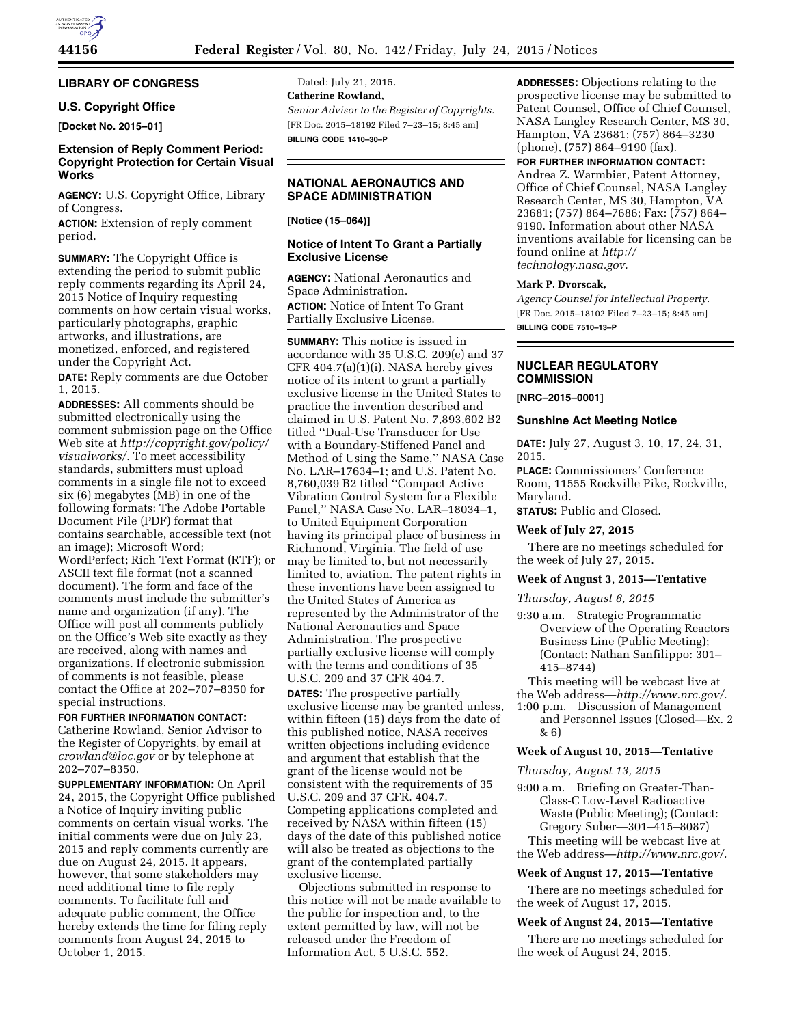# **LIBRARY OF CONGRESS**

# **U.S. Copyright Office**

**[Docket No. 2015–01]** 

# **Extension of Reply Comment Period: Copyright Protection for Certain Visual Works**

**AGENCY:** U.S. Copyright Office, Library of Congress.

**ACTION:** Extension of reply comment period.

**SUMMARY:** The Copyright Office is extending the period to submit public reply comments regarding its April 24, 2015 Notice of Inquiry requesting comments on how certain visual works, particularly photographs, graphic artworks, and illustrations, are monetized, enforced, and registered under the Copyright Act.

**DATE:** Reply comments are due October 1, 2015.

**ADDRESSES:** All comments should be submitted electronically using the comment submission page on the Office Web site at *[http://copyright.gov/policy/](http://copyright.gov/policy/visualworks/) [visualworks/.](http://copyright.gov/policy/visualworks/)* To meet accessibility standards, submitters must upload comments in a single file not to exceed six (6) megabytes (MB) in one of the following formats: The Adobe Portable Document File (PDF) format that contains searchable, accessible text (not an image); Microsoft Word; WordPerfect; Rich Text Format (RTF); or ASCII text file format (not a scanned document). The form and face of the comments must include the submitter's name and organization (if any). The Office will post all comments publicly on the Office's Web site exactly as they are received, along with names and organizations. If electronic submission of comments is not feasible, please contact the Office at 202–707–8350 for special instructions.

**FOR FURTHER INFORMATION CONTACT:**  Catherine Rowland, Senior Advisor to the Register of Copyrights, by email at *[crowland@loc.gov](mailto:crowland@loc.gov)* or by telephone at 202–707–8350.

**SUPPLEMENTARY INFORMATION:** On April 24, 2015, the Copyright Office published a Notice of Inquiry inviting public comments on certain visual works. The initial comments were due on July 23, 2015 and reply comments currently are due on August 24, 2015. It appears, however, that some stakeholders may need additional time to file reply comments. To facilitate full and adequate public comment, the Office hereby extends the time for filing reply comments from August 24, 2015 to October 1, 2015.

Dated: July 21, 2015. **Catherine Rowland,**  *Senior Advisor to the Register of Copyrights.*  [FR Doc. 2015–18192 Filed 7–23–15; 8:45 am] **BILLING CODE 1410–30–P** 

# **NATIONAL AERONAUTICS AND SPACE ADMINISTRATION**

# **[Notice (15–064)]**

# **Notice of Intent To Grant a Partially Exclusive License**

**AGENCY:** National Aeronautics and Space Administration.

**ACTION:** Notice of Intent To Grant Partially Exclusive License.

**SUMMARY:** This notice is issued in accordance with 35 U.S.C. 209(e) and 37 CFR 404.7(a)(1)(i). NASA hereby gives notice of its intent to grant a partially exclusive license in the United States to practice the invention described and claimed in U.S. Patent No. 7,893,602 B2 titled ''Dual-Use Transducer for Use with a Boundary-Stiffened Panel and Method of Using the Same,'' NASA Case No. LAR–17634–1; and U.S. Patent No. 8,760,039 B2 titled ''Compact Active Vibration Control System for a Flexible Panel,'' NASA Case No. LAR–18034–1, to United Equipment Corporation having its principal place of business in Richmond, Virginia. The field of use may be limited to, but not necessarily limited to, aviation. The patent rights in these inventions have been assigned to the United States of America as represented by the Administrator of the National Aeronautics and Space Administration. The prospective partially exclusive license will comply with the terms and conditions of 35 U.S.C. 209 and 37 CFR 404.7.

**DATES:** The prospective partially exclusive license may be granted unless, within fifteen (15) days from the date of this published notice, NASA receives written objections including evidence and argument that establish that the grant of the license would not be consistent with the requirements of 35 U.S.C. 209 and 37 CFR. 404.7. Competing applications completed and received by NASA within fifteen (15) days of the date of this published notice will also be treated as objections to the grant of the contemplated partially exclusive license.

Objections submitted in response to this notice will not be made available to the public for inspection and, to the extent permitted by law, will not be released under the Freedom of Information Act, 5 U.S.C. 552.

**ADDRESSES:** Objections relating to the prospective license may be submitted to Patent Counsel, Office of Chief Counsel, NASA Langley Research Center, MS 30, Hampton, VA 23681; (757) 864–3230 (phone), (757) 864–9190 (fax).

# **FOR FURTHER INFORMATION CONTACT:**

Andrea Z. Warmbier, Patent Attorney, Office of Chief Counsel, NASA Langley Research Center, MS 30, Hampton, VA 23681; (757) 864–7686; Fax: (757) 864– 9190. Information about other NASA inventions available for licensing can be found online at *[http://](http://technology.nasa.gov) [technology.nasa.gov.](http://technology.nasa.gov)* 

## **Mark P. Dvorscak,**

*Agency Counsel for Intellectual Property.*  [FR Doc. 2015–18102 Filed 7–23–15; 8:45 am] **BILLING CODE 7510–13–P** 

# **NUCLEAR REGULATORY COMMISSION**

### **[NRC–2015–0001]**

#### **Sunshine Act Meeting Notice**

**DATE:** July 27, August 3, 10, 17, 24, 31, 2015.

**PLACE:** Commissioners' Conference Room, 11555 Rockville Pike, Rockville, Maryland.

**STATUS:** Public and Closed.

## **Week of July 27, 2015**

There are no meetings scheduled for the week of July 27, 2015.

#### **Week of August 3, 2015—Tentative**

*Thursday, August 6, 2015* 

9:30 a.m. Strategic Programmatic Overview of the Operating Reactors Business Line (Public Meeting); (Contact: Nathan Sanfilippo: 301– 415–8744)

This meeting will be webcast live at the Web address—*[http://www.nrc.gov/.](http://www.nrc.gov/)* 

- 1:00 p.m. Discussion of Management
- and Personnel Issues (Closed—Ex. 2 & 6)

# **Week of August 10, 2015—Tentative**

*Thursday, August 13, 2015* 

- 9:00 a.m. Briefing on Greater-Than-Class-C Low-Level Radioactive Waste (Public Meeting); (Contact: Gregory Suber—301–415–8087) This meeting will be webcast live at
- the Web address—*[http://www.nrc.gov/.](http://www.nrc.gov/)*

## **Week of August 17, 2015—Tentative**

There are no meetings scheduled for the week of August 17, 2015.

#### **Week of August 24, 2015—Tentative**

There are no meetings scheduled for the week of August 24, 2015.